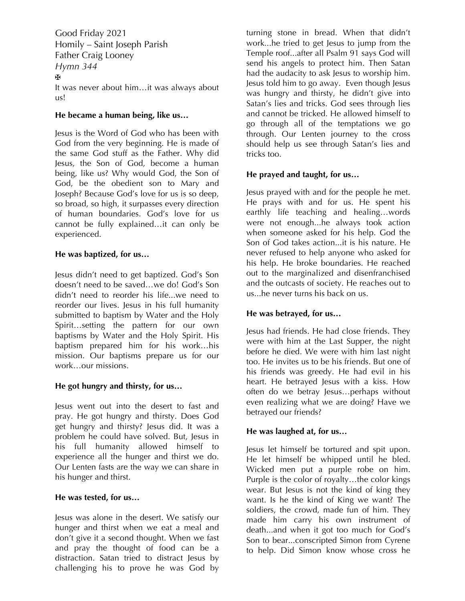Good Friday 2021 Homily – Saint Joseph Parish Father Craig Looney *Hymn 344* **✠** It was never about him…it was always about us!

## **He became a human being, like us…**

Jesus is the Word of God who has been with God from the very beginning. He is made of the same God stuff as the Father. Why did Jesus, the Son of God, become a human being, like us? Why would God, the Son of God, be the obedient son to Mary and Joseph? Because God's love for us is so deep, so broad, so high, it surpasses every direction of human boundaries. God's love for us cannot be fully explained…it can only be experienced.

## **He was baptized, for us…**

Jesus didn't need to get baptized. God's Son doesn't need to be saved…we do! God's Son didn't need to reorder his life...we need to reorder our lives. Jesus in his full humanity submitted to baptism by Water and the Holy Spirit…setting the pattern for our own baptisms by Water and the Holy Spirit. His baptism prepared him for his work…his mission. Our baptisms prepare us for our work<sub>our missions</sub>

## **He got hungry and thirsty, for us…**

Jesus went out into the desert to fast and pray. He got hungry and thirsty. Does God get hungry and thirsty? Jesus did. It was a problem he could have solved. But, Jesus in his full humanity allowed himself to experience all the hunger and thirst we do. Our Lenten fasts are the way we can share in his hunger and thirst.

#### **He was tested, for us…**

Jesus was alone in the desert. We satisfy our hunger and thirst when we eat a meal and don't give it a second thought. When we fast and pray the thought of food can be a distraction. Satan tried to distract Jesus by challenging his to prove he was God by turning stone in bread. When that didn't work...he tried to get Jesus to jump from the Temple roof...after all Psalm 91 says God will send his angels to protect him. Then Satan had the audacity to ask Jesus to worship him. Jesus told him to go away. Even though Jesus was hungry and thirsty, he didn't give into Satan's lies and tricks. God sees through lies and cannot be tricked. He allowed himself to go through all of the temptations we go through. Our Lenten journey to the cross should help us see through Satan's lies and tricks too.

#### **He prayed and taught, for us…**

Jesus prayed with and for the people he met. He prays with and for us. He spent his earthly life teaching and healing…words were not enough...he always took action when someone asked for his help. God the Son of God takes action...it is his nature. He never refused to help anyone who asked for his help. He broke boundaries. He reached out to the marginalized and disenfranchised and the outcasts of society. He reaches out to us...he never turns his back on us.

## **He was betrayed, for us…**

Jesus had friends. He had close friends. They were with him at the Last Supper, the night before he died. We were with him last night too. He invites us to be his friends. But one of his friends was greedy. He had evil in his heart. He betrayed Jesus with a kiss. How often do we betray Jesus…perhaps without even realizing what we are doing? Have we betrayed our friends?

## **He was laughed at, for us…**

Jesus let himself be tortured and spit upon. He let himself be whipped until he bled. Wicked men put a purple robe on him. Purple is the color of royalty…the color kings wear. But Jesus is not the kind of king they want. Is he the kind of King we want? The soldiers, the crowd, made fun of him. They made him carry his own instrument of death...and when it got too much for God's Son to bear...conscripted Simon from Cyrene to help. Did Simon know whose cross he